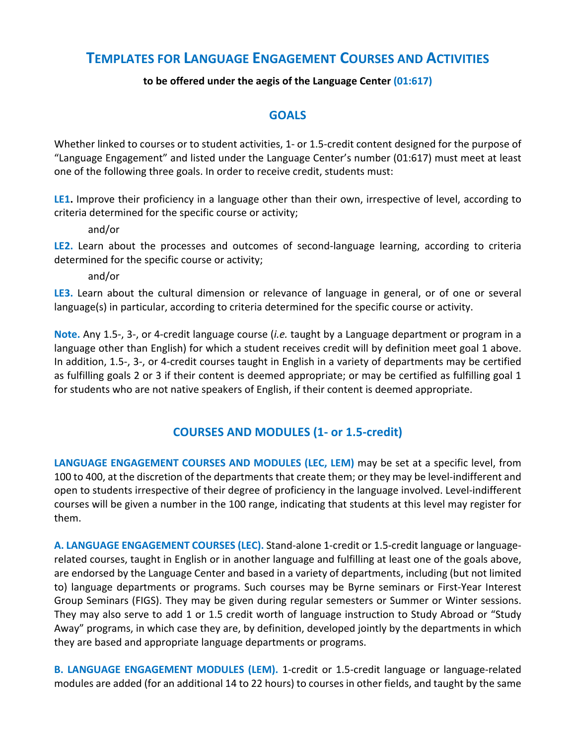# **TEMPLATES FOR LANGUAGE ENGAGEMENT COURSES AND ACTIVITIES**

#### to be offered under the aegis of the Language Center (01:617)

#### **GOALS**

Whether linked to courses or to student activities, 1- or 1.5-credit content designed for the purpose of "Language Engagement" and listed under the Language Center's number (01:617) must meet at least one of the following three goals. In order to receive credit, students must:

**LE1.** Improve their proficiency in a language other than their own, irrespective of level, according to criteria determined for the specific course or activity;

and/or

**LE2.** Learn about the processes and outcomes of second-language learning, according to criteria determined for the specific course or activity;

and/or

**LE3.** Learn about the cultural dimension or relevance of language in general, or of one or several language(s) in particular, according to criteria determined for the specific course or activity.

**Note.** Any 1.5-, 3-, or 4-credit language course (*i.e.* taught by a Language department or program in a language other than English) for which a student receives credit will by definition meet goal 1 above. In addition, 1.5-, 3-, or 4-credit courses taught in English in a variety of departments may be certified as fulfilling goals 2 or 3 if their content is deemed appropriate; or may be certified as fulfilling goal 1 for students who are not native speakers of English, if their content is deemed appropriate.

### **COURSES AND MODULES (1- or 1.5-credit)**

LANGUAGE ENGAGEMENT COURSES AND MODULES (LEC, LEM) may be set at a specific level, from 100 to 400, at the discretion of the departments that create them; or they may be level-indifferent and open to students irrespective of their degree of proficiency in the language involved. Level-indifferent courses will be given a number in the 100 range, indicating that students at this level may register for them. 

**A. LANGUAGE ENGAGEMENT COURSES (LEC).** Stand-alone 1-credit or 1.5-credit language or languagerelated courses, taught in English or in another language and fulfilling at least one of the goals above, are endorsed by the Language Center and based in a variety of departments, including (but not limited to) language departments or programs. Such courses may be Byrne seminars or First-Year Interest Group Seminars (FIGS). They may be given during regular semesters or Summer or Winter sessions. They may also serve to add 1 or 1.5 credit worth of language instruction to Study Abroad or "Study Away" programs, in which case they are, by definition, developed jointly by the departments in which they are based and appropriate language departments or programs.

**B. LANGUAGE ENGAGEMENT MODULES (LEM).** 1-credit or 1.5-credit language or language-related modules are added (for an additional 14 to 22 hours) to courses in other fields, and taught by the same